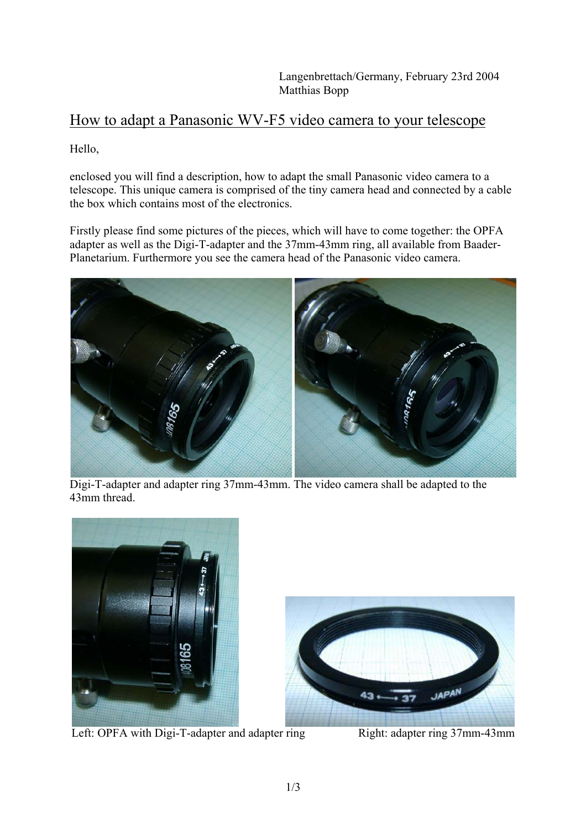## How to adapt a Panasonic WV-F5 video camera to your telescope

Hello,

enclosed you will find a description, how to adapt the small Panasonic video camera to a telescope. This unique camera is comprised of the tiny camera head and connected by a cable the box which contains most of the electronics.

Firstly please find some pictures of the pieces, which will have to come together: the OPFA adapter as well as the Digi-T-adapter and the 37mm-43mm ring, all available from Baader-Planetarium. Furthermore you see the camera head of the Panasonic video camera.



Digi-T-adapter and adapter ring 37mm-43mm. The video camera shall be adapted to the 43mm thread.



Left: OPFA with Digi-T-adapter and adapter ring Right: adapter ring 37mm-43mm

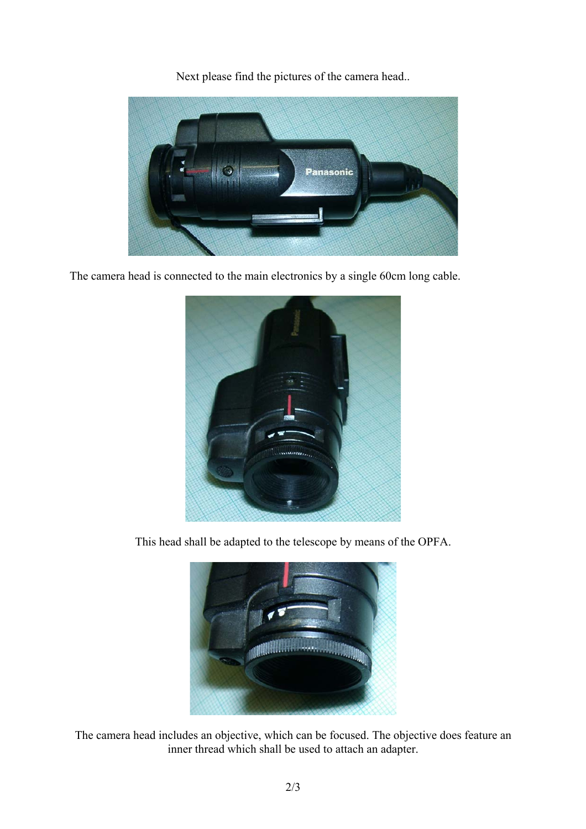Next please find the pictures of the camera head..



The camera head is connected to the main electronics by a single 60cm long cable.



This head shall be adapted to the telescope by means of the OPFA.



The camera head includes an objective, which can be focused. The objective does feature an inner thread which shall be used to attach an adapter.